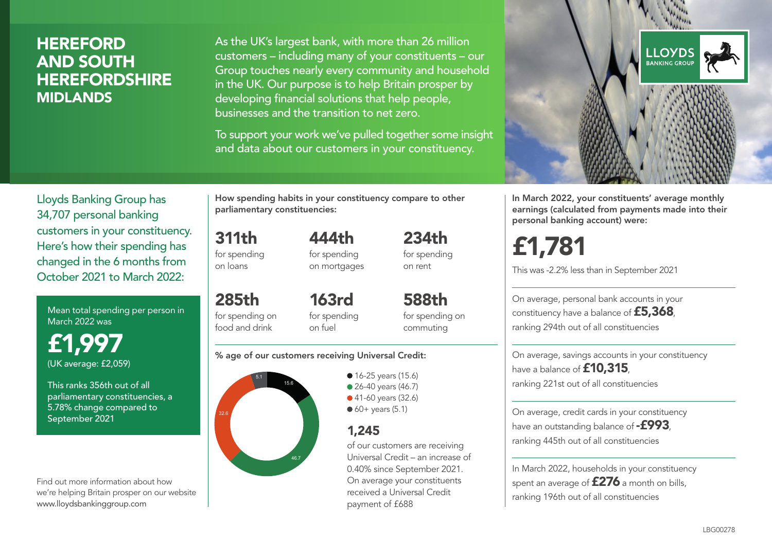## **HEREFORD** AND SOUTH **HEREFORDSHIRE** MIDLANDS

As the UK's largest bank, with more than 26 million customers – including many of your constituents – our Group touches nearly every community and household in the UK. Our purpose is to help Britain prosper by developing financial solutions that help people, businesses and the transition to net zero.

To support your work we've pulled together some insight and data about our customers in your constituency.



Mean total spending per person in March 2022 was

£1,997 (UK average: £2,059)

This ranks 356th out of all parliamentary constituencies, a 5.78% change compared to September 2021

Find out more information about how we're helping Britain prosper on our website www.lloydsbankinggroup.com

How spending habits in your constituency compare to other parliamentary constituencies:

for spending 444th for spending

311th

on loans

285th

on mortgages 234th for spending on rent

for spending on food and drink 163rd for spending on fuel

588th for spending on commuting

#### % age of our customers receiving Universal Credit:



• 16-25 years (15.6) • 26-40 years (46.7) ● 41-60 years (32.6)  $60+$  years (5.1)

## 1,245

of our customers are receiving Universal Credit – an increase of 0.40% since September 2021. On average your constituents received a Universal Credit payment of £688



In March 2022, your constituents' average monthly earnings (calculated from payments made into their personal banking account) were:

£1,781

This was -2.2% less than in September 2021

On average, personal bank accounts in your constituency have a balance of £5,368, ranking 294th out of all constituencies

On average, savings accounts in your constituency have a balance of **£10,315** ranking 221st out of all constituencies

On average, credit cards in your constituency have an outstanding balance of  $-$ £993, ranking 445th out of all constituencies

In March 2022, households in your constituency spent an average of £276 a month on bills, ranking 196th out of all constituencies